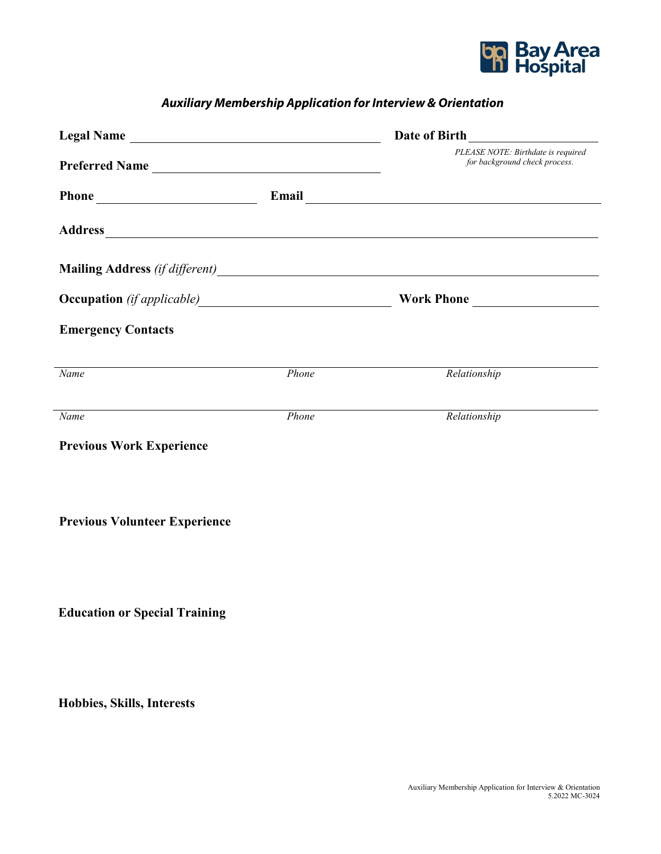

## *Auxiliary Membership Application for Interview & Orientation*

| Legal Name                            |       |                                                                                                                                                                                                                                      |  |  |
|---------------------------------------|-------|--------------------------------------------------------------------------------------------------------------------------------------------------------------------------------------------------------------------------------------|--|--|
| Preferred Name                        |       | PLEASE NOTE: Birthdate is required<br>for background check process.                                                                                                                                                                  |  |  |
|                                       |       |                                                                                                                                                                                                                                      |  |  |
|                                       |       |                                                                                                                                                                                                                                      |  |  |
|                                       |       | Mailing Address (if different)<br><u>Letting</u> and the contract of the contract of the contract of the contract of the contract of the contract of the contract of the contract of the contract of the contract of the contract of |  |  |
| Occupation (if applicable) Work Phone |       |                                                                                                                                                                                                                                      |  |  |
| <b>Emergency Contacts</b>             |       |                                                                                                                                                                                                                                      |  |  |
| $\overline{Name}$                     | Phone | Relationship                                                                                                                                                                                                                         |  |  |
| Name                                  | Phone | Relationship                                                                                                                                                                                                                         |  |  |
| <b>Previous Work Experience</b>       |       |                                                                                                                                                                                                                                      |  |  |
|                                       |       |                                                                                                                                                                                                                                      |  |  |
| <b>Previous Volunteer Experience</b>  |       |                                                                                                                                                                                                                                      |  |  |
|                                       |       |                                                                                                                                                                                                                                      |  |  |
|                                       |       |                                                                                                                                                                                                                                      |  |  |
| <b>Education or Special Training</b>  |       |                                                                                                                                                                                                                                      |  |  |
|                                       |       |                                                                                                                                                                                                                                      |  |  |
|                                       |       |                                                                                                                                                                                                                                      |  |  |

**Hobbies, Skills, Interests**